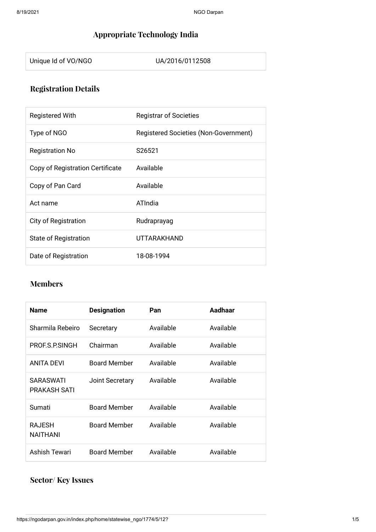# **Appropriate Technology India**

Unique Id of VO/NGO UA/2016/0112508

# **Registration Details**

| <b>Registered With</b>           | <b>Registrar of Societies</b>                |
|----------------------------------|----------------------------------------------|
| Type of NGO                      | <b>Registered Societies (Non-Government)</b> |
| <b>Registration No</b>           | S26521                                       |
| Copy of Registration Certificate | Available                                    |
| Copy of Pan Card                 | Available                                    |
| Act name                         | ATIndia                                      |
| <b>City of Registration</b>      | Rudraprayag                                  |
| State of Registration            | UTTARAKHAND                                  |
| Date of Registration             | 18-08-1994                                   |

#### **Members**

| <b>Name</b>                             | <b>Designation</b>  | Pan       | Aadhaar   |
|-----------------------------------------|---------------------|-----------|-----------|
| Sharmila Rebeiro                        | Secretary           | Available | Available |
| PROF.S.P.SINGH                          | Chairman            | Available | Available |
| ANITA DEVI                              | <b>Board Member</b> | Available | Available |
| <b>SARASWATI</b><br><b>PRAKASH SATI</b> | Joint Secretary     | Available | Available |
| Sumati                                  | <b>Board Member</b> | Available | Available |
| <b>RAJESH</b><br><b>NAITHANI</b>        | <b>Board Member</b> | Available | Available |
| Ashish Tewari                           | <b>Board Member</b> | Available | Available |

## **Sector/ Key Issues**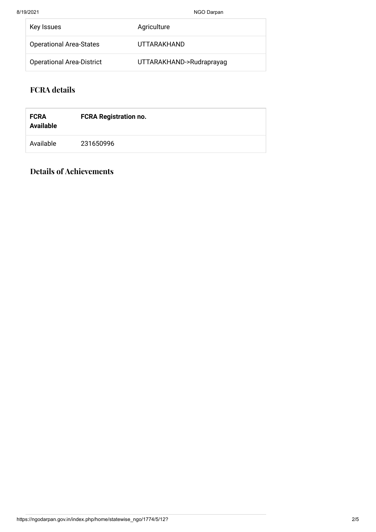8/19/2021 MGO Darpan

| Key Issues                       | Agriculture              |
|----------------------------------|--------------------------|
| <b>Operational Area-States</b>   | UTTARAKHAND              |
| <b>Operational Area-District</b> | UTTARAKHAND->Rudraprayag |

## **FCRA details**

| <b>FCRA</b><br><b>Available</b> | <b>FCRA Registration no.</b> |
|---------------------------------|------------------------------|
| Available                       | 231650996                    |

## **Details of Achievements**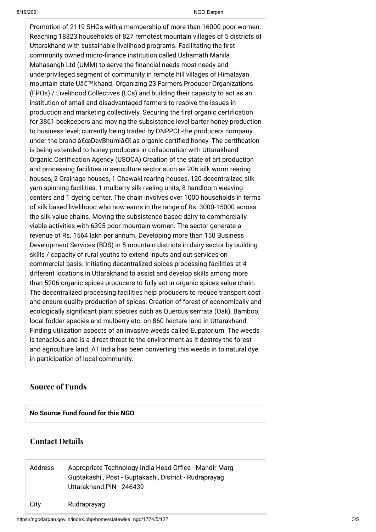Promotion of 2119 SHGs with a membership of more than 16000 poor women. Reaching 18323 households of 827 remotest mountain villages of 5 districts of Uttarakhand with sustainable livelihood programs. Facilitating the first community owned micro-finance institution called Ushamath Mahila Mahasangh Ltd (UMM) to serve the financial needs most needy and underprivileged segment of community in remote hill villages of Himalayan mountain state Uâ€™khand. Organizing 23 Farmers Producer Organizations (FPOs) / Livelihood Collectives (LCs) and building their capacity to act as an institution of small and disadvantaged farmers to resolve the issues in production and marketing collectively. Securing the first organic certification for 3861 beekeepers and moving the subsistence level barter honey production to business level; currently being traded by DNPPCL-the producers company under the brand  $\hat{\mathbf{a}} \in \mathbf{C}$  DevBhumi $\hat{\mathbf{a}} \in \mathbb{N}$  as organic certified honey. The certification is being extended to honey producers in collaboration with Uttarakhand Organic Certification Agency (USOCA) Creation of the state of art production and processing facilities in sericulture sector such as 206 silk worm rearing houses, 2 Grainage houses, 1 Chawaki rearing houses, 120 decentralized silk yarn spinning facilities, 1 mulberry silk reeling units, 8 handloom weaving centers and 1 dyeing center. The chain involves over 1000 households in terms of silk based livelihood who now earns in the range of Rs. 3000-15000 across the silk value chains. Moving the subsistence based dairy to commercially viable activities with 6395 poor mountain women. The sector generate a revenue of Rs. 1564 lakh per annum. Developing more than 150 Business Development Services (BDS) in 5 mountain districts in dairy sector by building skills / capacity of rural youths to extend inputs and out services on commercial basis. Initiating decentralized spices processing facilities at 4 different locations in Uttarakhand to assist and develop skills among more than 5206 organic spices producers to fully act in organic spices value chain. The decentralized processing facilities help producers to reduce transport cost and ensure quality production of spices. Creation of forest of economically and ecologically significant plant species such as Quercus serrrata (Oak), Bamboo, local fodder species and mulberry etc. on 860 hectare land in Uttarakhand. Finding utilization aspects of an invasive weeds called Eupatorium. The weeds is tenacious and is a direct threat to the environment as it destroy the forest and agriculture land. AT India has been converting this weeds in to natural dye in participation of local community.

#### **Source of Funds**

#### **No Source Fund found for this NGO**

#### **Contact Details**

| Address | Appropriate Technology India Head Office - Mandir Marg<br>Guptakashi, Post - Guptakashi, District - Rudraprayag<br>Uttarakhand PIN - 246439 |
|---------|---------------------------------------------------------------------------------------------------------------------------------------------|
| City    | Rudraprayag                                                                                                                                 |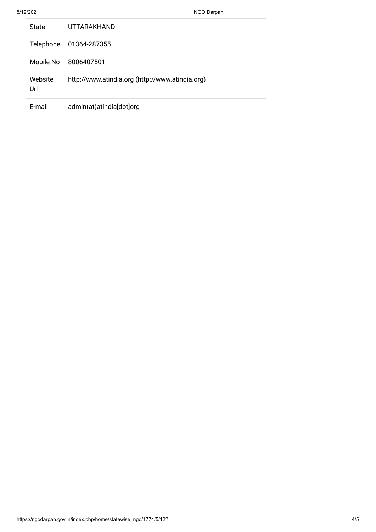| <b>State</b>   | <b>UTTARAKHAND</b>                              |
|----------------|-------------------------------------------------|
|                | Telephone 01364-287355                          |
|                | Mobile No 8006407501                            |
| Website<br>Url | http://www.atindia.org (http://www.atindia.org) |
| E-mail         | admin(at)atindia[dot]org                        |